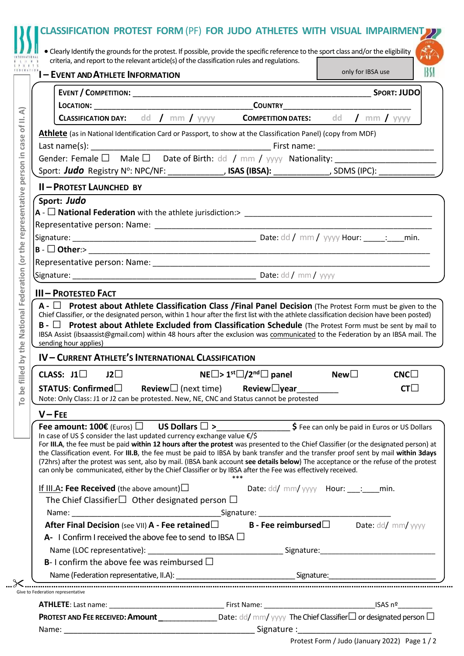|           | <b>1 - EVENT AND ATHLETE INFORMATION</b>                                                                                                                                                                                                                                                                                                                                                                                                                                                                                                                                                                                                                                                                                               |                                                      |                  | only for IBSA use |
|-----------|----------------------------------------------------------------------------------------------------------------------------------------------------------------------------------------------------------------------------------------------------------------------------------------------------------------------------------------------------------------------------------------------------------------------------------------------------------------------------------------------------------------------------------------------------------------------------------------------------------------------------------------------------------------------------------------------------------------------------------------|------------------------------------------------------|------------------|-------------------|
|           |                                                                                                                                                                                                                                                                                                                                                                                                                                                                                                                                                                                                                                                                                                                                        |                                                      |                  |                   |
|           |                                                                                                                                                                                                                                                                                                                                                                                                                                                                                                                                                                                                                                                                                                                                        |                                                      |                  |                   |
|           | <b>CLASSIFICATION DAY:</b> dd / mm / yyyy <b>COMPETITION DATES:</b> dd / mm / yyyy                                                                                                                                                                                                                                                                                                                                                                                                                                                                                                                                                                                                                                                     |                                                      |                  |                   |
|           | Athlete (as in National Identification Card or Passport, to show at the Classification Panel) (copy from MDF)                                                                                                                                                                                                                                                                                                                                                                                                                                                                                                                                                                                                                          |                                                      |                  |                   |
|           | Gender: Female $\square$ Male $\square$ Date of Birth: dd / mm / yyyy Nationality: __________________________<br>Sport: Judo Registry Nº: NPC/NF: ________________, ISAS (IBSA): ___________, SDMS (IPC): ___________                                                                                                                                                                                                                                                                                                                                                                                                                                                                                                                  |                                                      |                  |                   |
|           | <b>II-PROTEST LAUNCHED BY</b>                                                                                                                                                                                                                                                                                                                                                                                                                                                                                                                                                                                                                                                                                                          |                                                      |                  |                   |
|           | Sport: Judo                                                                                                                                                                                                                                                                                                                                                                                                                                                                                                                                                                                                                                                                                                                            |                                                      |                  |                   |
|           |                                                                                                                                                                                                                                                                                                                                                                                                                                                                                                                                                                                                                                                                                                                                        |                                                      |                  |                   |
|           |                                                                                                                                                                                                                                                                                                                                                                                                                                                                                                                                                                                                                                                                                                                                        |                                                      |                  |                   |
|           |                                                                                                                                                                                                                                                                                                                                                                                                                                                                                                                                                                                                                                                                                                                                        |                                                      |                  |                   |
|           | <b>III - PROTESTED FACT</b><br>$A - \Box$ Protest about Athlete Classification Class /Final Panel Decision (The Protest Form must be given to the<br>Chief Classifier, or the designated person, within 1 hour after the first list with the athlete classification decision have been posted)<br>$\mathsf{B}$ - $\Box$ Protest about Athlete Excluded from Classification Schedule (The Protest Form must be sent by mail to<br>IBSA Assist (ibsaassist@gmail.com) within 48 hours after the exclusion was communicated to the Federation by an IBSA mail. The<br>sending hour applies)                                                                                                                                               |                                                      |                  |                   |
|           | IV-CURRENT ATHLETE'S INTERNATIONAL CLASSIFICATION                                                                                                                                                                                                                                                                                                                                                                                                                                                                                                                                                                                                                                                                                      |                                                      |                  |                   |
|           | CLASS: $J1$<br>$J2\square$                                                                                                                                                                                                                                                                                                                                                                                                                                                                                                                                                                                                                                                                                                             | $NE \Box$ > 1 <sup>st</sup> $\Box/2^{nd} \Box$ panel | New <sub>1</sub> | CNCD              |
|           | STATUS: Confirmed□ Review□ (next time) Review□year_________<br>Note: Only Class: J1 or J2 can be protested. New, NE, CNC and Status cannot be protested                                                                                                                                                                                                                                                                                                                                                                                                                                                                                                                                                                                |                                                      |                  | $CT\square$       |
| $V - FEE$ |                                                                                                                                                                                                                                                                                                                                                                                                                                                                                                                                                                                                                                                                                                                                        |                                                      |                  |                   |
|           | Fee amount: 100€ (Euros) $\Box$ US Dollars $\Box >$ ___________________\$ Fee can only be paid in Euros or US Dollars<br>In case of US \$ consider the last updated currency exchange value €/\$<br>For III.A, the fee must be paid within 12 hours after the protest was presented to the Chief Classifier (or the designated person) at<br>the Classification event. For III.B, the fee must be paid to IBSA by bank transfer and the transfer proof sent by mail within 3days<br>(72hrs) after the protest was sent, also by mail. (IBSA bank account see details below) The acceptance or the refuse of the protest<br>can only be communicated, either by the Chief Classifier or by IBSA after the Fee was effectively received. |                                                      |                  |                   |
|           | If III.A: Fee Received (the above amount) $\square$                                                                                                                                                                                                                                                                                                                                                                                                                                                                                                                                                                                                                                                                                    | Date: dd/ mm/ yyyy Hour: __: __ min.                 |                  |                   |
|           | The Chief Classifier $\Box$ Other designated person $\Box$                                                                                                                                                                                                                                                                                                                                                                                                                                                                                                                                                                                                                                                                             |                                                      |                  |                   |
|           |                                                                                                                                                                                                                                                                                                                                                                                                                                                                                                                                                                                                                                                                                                                                        |                                                      |                  |                   |
|           | After Final Decision (see VII) A - Fee retained $\square$ B - Fee reimbursed $\square$ Date: dd/ mm/yyyy<br>A- I Confirm I received the above fee to send to IBSA $\Box$                                                                                                                                                                                                                                                                                                                                                                                                                                                                                                                                                               |                                                      |                  |                   |
|           |                                                                                                                                                                                                                                                                                                                                                                                                                                                                                                                                                                                                                                                                                                                                        |                                                      |                  |                   |
|           | <b>B</b> -I confirm the above fee was reimbursed $\Box$                                                                                                                                                                                                                                                                                                                                                                                                                                                                                                                                                                                                                                                                                |                                                      |                  |                   |